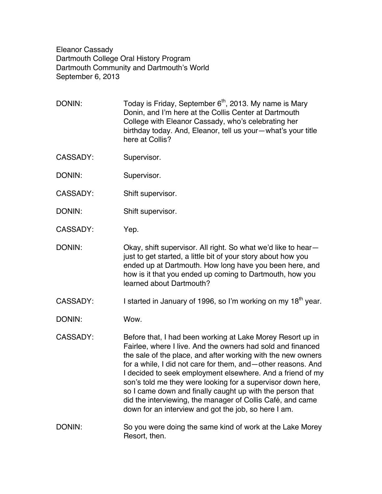Eleanor Cassady Dartmouth College Oral History Program Dartmouth Community and Dartmouth's World September 6, 2013

DONIN: Today is Friday, September  $6<sup>th</sup>$ , 2013. My name is Mary Donin, and I'm here at the Collis Center at Dartmouth College with Eleanor Cassady, who's celebrating her birthday today. And, Eleanor, tell us your—what's your title here at Collis?

- CASSADY: Supervisor.
- DONIN: Supervisor.
- CASSADY: Shift supervisor.
- DONIN: Shift supervisor.
- CASSADY: Yep.

DONIN: Okay, shift supervisor. All right. So what we'd like to hearjust to get started, a little bit of your story about how you ended up at Dartmouth. How long have you been here, and how is it that you ended up coming to Dartmouth, how you learned about Dartmouth?

CASSADY: I started in January of 1996, so I'm working on my  $18<sup>th</sup>$  year.

DONIN: Wow.

CASSADY: Before that, I had been working at Lake Morey Resort up in Fairlee, where I live. And the owners had sold and financed the sale of the place, and after working with the new owners for a while, I did not care for them, and—other reasons. And I decided to seek employment elsewhere. And a friend of my son's told me they were looking for a supervisor down here, so I came down and finally caught up with the person that did the interviewing, the manager of Collis Café, and came down for an interview and got the job, so here I am.

DONIN: So you were doing the same kind of work at the Lake Morey Resort, then.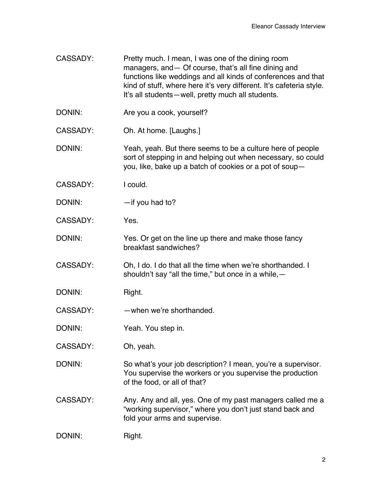- CASSADY: Pretty much. I mean, I was one of the dining room managers, and— Of course, that's all fine dining and functions like weddings and all kinds of conferences and that kind of stuff, where here it's very different. It's cafeteria style. It's all students—well, pretty much all students.
- DONIN: Are you a cook, yourself?
- CASSADY: Oh. At home. [Laughs.]
- DONIN: Yeah, yeah. But there seems to be a culture here of people sort of stepping in and helping out when necessary, so could you, like, bake up a batch of cookies or a pot of soup—
- CASSADY: I could.
- DONIN: — if you had to?
- CASSADY: Yes.
- DONIN: Yes. Or get on the line up there and make those fancy breakfast sandwiches?
- CASSADY: Oh, I do. I do that all the time when we're shorthanded. I shouldn't say "all the time," but once in a while,—
- DONIN: Right.
- CASSADY: —when we're shorthanded.
- DONIN: Yeah. You step in.
- CASSADY: Oh, yeah.
- DONIN: So what's your job description? I mean, you're a supervisor. You supervise the workers or you supervise the production of the food, or all of that?
- CASSADY: Any. Any and all, yes. One of my past managers called me a "working supervisor," where you don't just stand back and fold your arms and supervise.

| DONIN: | Right. |
|--------|--------|
|--------|--------|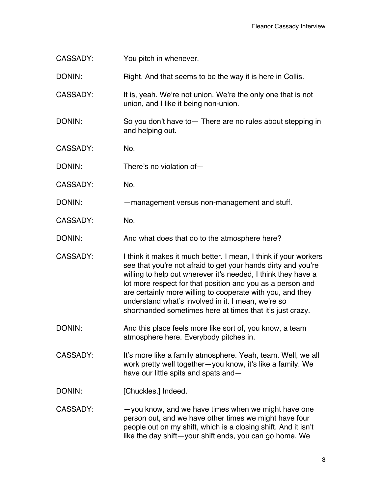| <b>CASSADY:</b> | You pitch in whenever.                                                                                                                                                                                                                                                                                                                                                                                                                            |
|-----------------|---------------------------------------------------------------------------------------------------------------------------------------------------------------------------------------------------------------------------------------------------------------------------------------------------------------------------------------------------------------------------------------------------------------------------------------------------|
| DONIN:          | Right. And that seems to be the way it is here in Collis.                                                                                                                                                                                                                                                                                                                                                                                         |
| CASSADY:        | It is, yeah. We're not union. We're the only one that is not<br>union, and I like it being non-union.                                                                                                                                                                                                                                                                                                                                             |
| DONIN:          | So you don't have to - There are no rules about stepping in<br>and helping out.                                                                                                                                                                                                                                                                                                                                                                   |
| <b>CASSADY:</b> | No.                                                                                                                                                                                                                                                                                                                                                                                                                                               |
| DONIN:          | There's no violation of-                                                                                                                                                                                                                                                                                                                                                                                                                          |
| <b>CASSADY:</b> | No.                                                                                                                                                                                                                                                                                                                                                                                                                                               |
| DONIN:          | -management versus non-management and stuff.                                                                                                                                                                                                                                                                                                                                                                                                      |
| <b>CASSADY:</b> | No.                                                                                                                                                                                                                                                                                                                                                                                                                                               |
| DONIN:          | And what does that do to the atmosphere here?                                                                                                                                                                                                                                                                                                                                                                                                     |
| <b>CASSADY:</b> | I think it makes it much better. I mean, I think if your workers<br>see that you're not afraid to get your hands dirty and you're<br>willing to help out wherever it's needed, I think they have a<br>lot more respect for that position and you as a person and<br>are certainly more willing to cooperate with you, and they<br>understand what's involved in it. I mean, we're so<br>shorthanded sometimes here at times that it's just crazy. |
| DONIN:          | And this place feels more like sort of, you know, a team<br>atmosphere here. Everybody pitches in.                                                                                                                                                                                                                                                                                                                                                |
| <b>CASSADY:</b> | It's more like a family atmosphere. Yeah, team. Well, we all<br>work pretty well together-you know, it's like a family. We<br>have our little spits and spats and-                                                                                                                                                                                                                                                                                |
| DONIN:          | [Chuckles.] Indeed.                                                                                                                                                                                                                                                                                                                                                                                                                               |
| <b>CASSADY:</b> | -you know, and we have times when we might have one<br>person out, and we have other times we might have four<br>people out on my shift, which is a closing shift. And it isn't<br>like the day shift-your shift ends, you can go home. We                                                                                                                                                                                                        |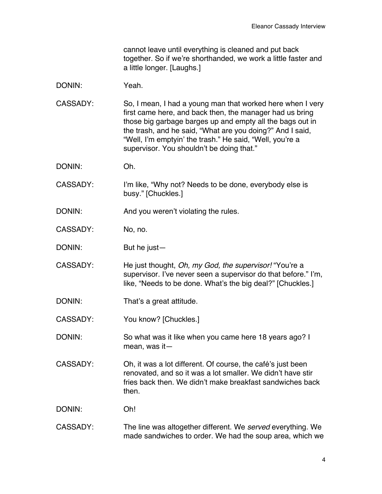cannot leave until everything is cleaned and put back together. So if we're shorthanded, we work a little faster and a little longer. [Laughs.]

DONIN: Yeah.

CASSADY: So, I mean, I had a young man that worked here when I very first came here, and back then, the manager had us bring those big garbage barges up and empty all the bags out in the trash, and he said, "What are you doing?" And I said, "Well, I'm emptyin' the trash." He said, "Well, you're a supervisor. You shouldn't be doing that."

- DONIN: Oh.
- CASSADY: I'm like, "Why not? Needs to be done, everybody else is busy." [Chuckles.]
- DONIN: And you weren't violating the rules.
- CASSADY: No, no.
- DONIN: But he just—

CASSADY: He just thought, *Oh, my God, the supervisor!* "You're a supervisor. I've never seen a supervisor do that before." I'm, like, "Needs to be done. What's the big deal?" [Chuckles.]

- DONIN: That's a great attitude.
- CASSADY: You know? [Chuckles.]

DONIN: So what was it like when you came here 18 years ago? I mean, was it—

CASSADY: Oh, it was a lot different. Of course, the café's just been renovated, and so it was a lot smaller. We didn't have stir fries back then. We didn't make breakfast sandwiches back then.

DONIN: Oh!

CASSADY: The line was altogether different. We *served* everything. We made sandwiches to order. We had the soup area, which we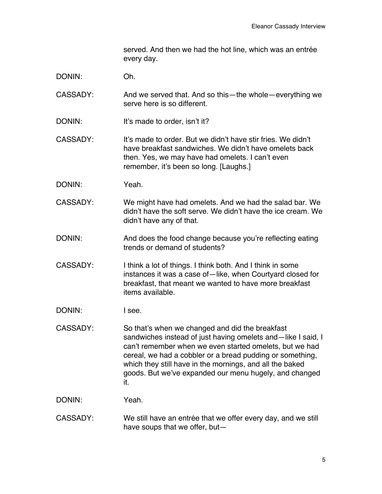served. And then we had the hot line, which was an entrée every day.

- DONIN: Oh.
- CASSADY: And we served that. And so this—the whole—everything we serve here is so different.
- DONIN: It's made to order, isn't it?
- CASSADY: It's made to order. But we didn't have stir fries. We didn't have breakfast sandwiches. We didn't have omelets back then. Yes, we may have had omelets. I can't even remember, it's been so long. [Laughs.]
- DONIN: Yeah.
- CASSADY: We might have had omelets. And we had the salad bar. We didn't have the soft serve. We didn't have the ice cream. We didn't have any of that.
- DONIN: And does the food change because you're reflecting eating trends or demand of students?
- CASSADY: I think a lot of things. I think both. And I think in some instances it was a case of—like, when Courtyard closed for breakfast, that meant we wanted to have more breakfast items available.
- DONIN: I see.
- CASSADY: So that's when we changed and did the breakfast sandwiches instead of just having omelets and—like I said, I can't remember when we even started omelets, but we had cereal, we had a cobbler or a bread pudding or something, which they still have in the mornings, and all the baked goods. But we've expanded our menu hugely, and changed it.

DONIN: Yeah.

CASSADY: We still have an entrée that we offer every day, and we still have soups that we offer, but—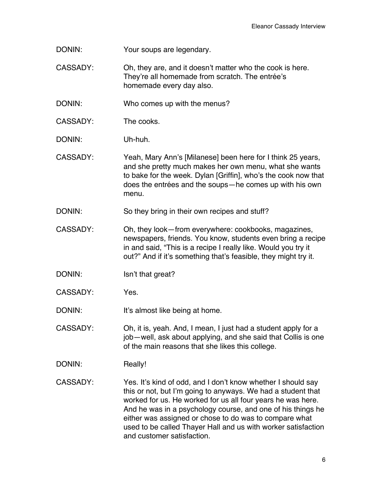- DONIN: Your soups are legendary.
- CASSADY: Oh, they are, and it doesn't matter who the cook is here. They're all homemade from scratch. The entrée's homemade every day also.
- DONIN: Who comes up with the menus?
- CASSADY: The cooks.
- DONIN: Uh-huh.
- CASSADY: Yeah, Mary Ann's [Milanese] been here for I think 25 years, and she pretty much makes her own menu, what she wants to bake for the week. Dylan [Griffin], who's the cook now that does the entrées and the soups—he comes up with his own menu.
- DONIN: So they bring in their own recipes and stuff?
- CASSADY: Oh, they look—from everywhere: cookbooks, magazines, newspapers, friends. You know, students even bring a recipe in and said, "This is a recipe I really like. Would you try it out?" And if it's something that's feasible, they might try it.
- DONIN: Isn't that great?
- CASSADY: Yes.

DONIN: It's almost like being at home.

- CASSADY: Oh, it is, yeah. And, I mean, I just had a student apply for a job—well, ask about applying, and she said that Collis is one of the main reasons that she likes this college.
- DONIN: Really!
- CASSADY: Yes. It's kind of odd, and I don't know whether I should say this or not, but I'm going to anyways. We had a student that worked for us. He worked for us all four years he was here. And he was in a psychology course, and one of his things he either was assigned or chose to do was to compare what used to be called Thayer Hall and us with worker satisfaction and customer satisfaction.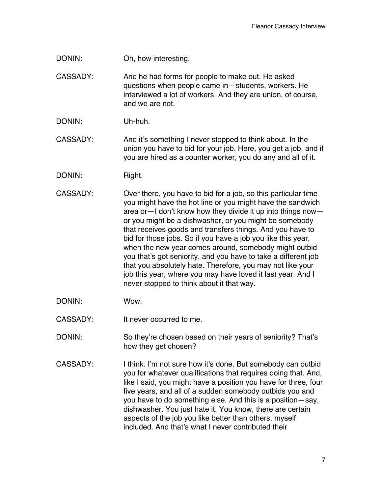DONIN: Oh, how interesting.

CASSADY: And he had forms for people to make out. He asked questions when people came in—students, workers. He interviewed a lot of workers. And they are union, of course, and we are not.

DONIN: Uh-huh.

CASSADY: And it's something I never stopped to think about. In the union you have to bid for your job. Here, you get a job, and if you are hired as a counter worker, you do any and all of it.

- DONIN: Right.
- CASSADY: Over there, you have to bid for a job, so this particular time you might have the hot line or you might have the sandwich area or—I don't know how they divide it up into things now or you might be a dishwasher, or you might be somebody that receives goods and transfers things. And you have to bid for those jobs. So if you have a job you like this year, when the new year comes around, somebody might outbid you that's got seniority, and you have to take a different job that you absolutely hate. Therefore, you may not like your job this year, where you may have loved it last year. And I never stopped to think about it that way.
- DONIN: Wow.
- CASSADY: It never occurred to me.

DONIN: So they're chosen based on their years of seniority? That's how they get chosen?

CASSADY: I think. I'm not sure how it's done. But somebody can outbid you for whatever qualifications that requires doing that. And, like I said, you might have a position you have for three, four five years, and all of a sudden somebody outbids you and you have to do something else. And this is a position—say, dishwasher. You just hate it. You know, there are certain aspects of the job you like better than others, myself included. And that's what I never contributed their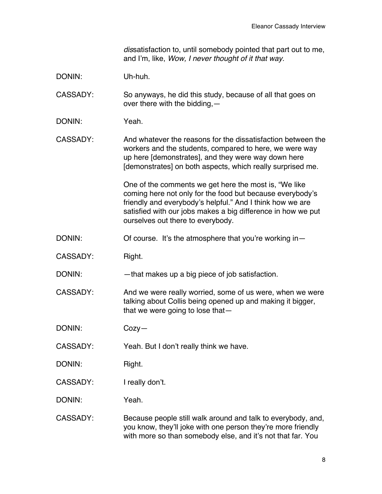*dis*satisfaction to, until somebody pointed that part out to me, and I'm, like, *Wow, I never thought of it that way.*

DONIN: Uh-huh.

CASSADY: So anyways, he did this study, because of all that goes on over there with the bidding,—

DONIN: Yeah.

CASSADY: And whatever the reasons for the dissatisfaction between the workers and the students, compared to here, we were way up here [demonstrates], and they were way down here [demonstrates] on both aspects, which really surprised me.

> One of the comments we get here the most is, "We like coming here not only for the food but because everybody's friendly and everybody's helpful." And I think how we are satisfied with our jobs makes a big difference in how we put ourselves out there to everybody.

- DONIN: Of course. It's the atmosphere that you're working in-
- CASSADY: Right.

DONIN: — that makes up a big piece of job satisfaction.

CASSADY: And we were really worried, some of us were, when we were talking about Collis being opened up and making it bigger, that we were going to lose that—

DONIN: Cozy—

CASSADY: Yeah. But I don't really think we have.

DONIN: Right.

CASSADY: I really don't.

DONIN: Yeah.

CASSADY: Because people still walk around and talk to everybody, and, you know, they'll joke with one person they're more friendly with more so than somebody else, and it's not that far. You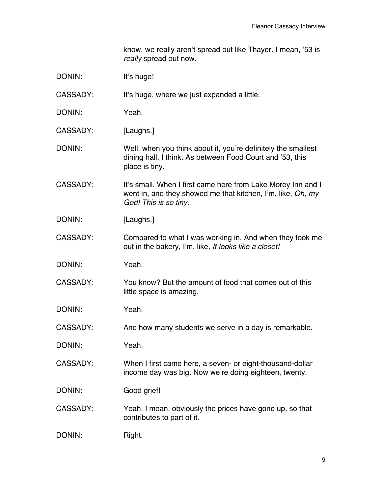know, we really aren't spread out like Thayer. I mean, '53 is *really* spread out now.

| DONIN:          | It's huge!                                                                                                                                           |
|-----------------|------------------------------------------------------------------------------------------------------------------------------------------------------|
| <b>CASSADY:</b> | It's huge, where we just expanded a little.                                                                                                          |
| DONIN:          | Yeah.                                                                                                                                                |
| CASSADY:        | [Laughs.]                                                                                                                                            |
| DONIN:          | Well, when you think about it, you're definitely the smallest<br>dining hall, I think. As between Food Court and '53, this<br>place is tiny.         |
| <b>CASSADY:</b> | It's small. When I first came here from Lake Morey Inn and I<br>went in, and they showed me that kitchen, I'm, like, Oh, my<br>God! This is so tiny. |
| DONIN:          | [Laughs.]                                                                                                                                            |
| <b>CASSADY:</b> | Compared to what I was working in. And when they took me<br>out in the bakery, I'm, like, It looks like a closet!                                    |
| DONIN:          | Yeah.                                                                                                                                                |
| <b>CASSADY:</b> | You know? But the amount of food that comes out of this<br>little space is amazing.                                                                  |
| DONIN:          | Yeah.                                                                                                                                                |
| <b>CASSADY:</b> | And how many students we serve in a day is remarkable.                                                                                               |
| DONIN:          | Yeah.                                                                                                                                                |
| CASSADY:        | When I first came here, a seven- or eight-thousand-dollar<br>income day was big. Now we're doing eighteen, twenty.                                   |
| DONIN:          | Good grief!                                                                                                                                          |
| <b>CASSADY:</b> | Yeah. I mean, obviously the prices have gone up, so that<br>contributes to part of it.                                                               |
| DONIN:          | Right.                                                                                                                                               |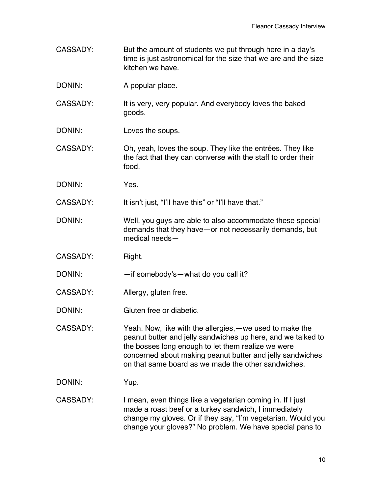- CASSADY: But the amount of students we put through here in a day's time is just astronomical for the size that we are and the size kitchen we have.
- DONIN: A popular place.
- CASSADY: It is very, very popular. And everybody loves the baked goods.
- DONIN: Loves the soups.
- CASSADY: Oh, yeah, loves the soup. They like the entrées. They like the fact that they can converse with the staff to order their food.
- DONIN: Yes.

CASSADY: It isn't just, "I'll have this" or "I'll have that."

- DONIN: Well, you guys are able to also accommodate these special demands that they have—or not necessarily demands, but medical needs—
- CASSADY: Right.
- DONIN: —if somebody's—what do you call it?
- CASSADY: Allergy, gluten free.
- DONIN: Gluten free or diabetic.

CASSADY: Yeah. Now, like with the allergies,—we used to make the peanut butter and jelly sandwiches up here, and we talked to the bosses long enough to let them realize we were concerned about making peanut butter and jelly sandwiches on that same board as we made the other sandwiches.

DONIN: Yup.

CASSADY: I mean, even things like a vegetarian coming in. If I just made a roast beef or a turkey sandwich, I immediately change my gloves. Or if they say, "I'm vegetarian. Would you change your gloves?" No problem. We have special pans to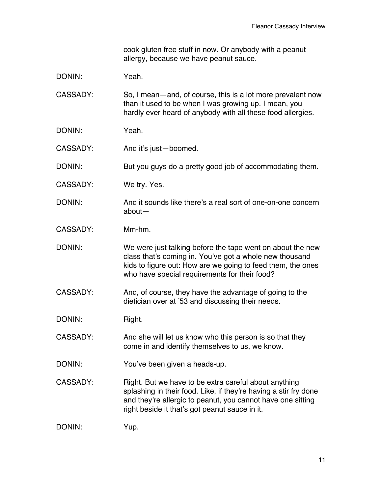cook gluten free stuff in now. Or anybody with a peanut allergy, because we have peanut sauce.

| DONIN: | Yeah. |
|--------|-------|
|--------|-------|

CASSADY: So, I mean—and, of course, this is a lot more prevalent now than it used to be when I was growing up. I mean, you hardly ever heard of anybody with all these food allergies.

- DONIN: Yeah.
- CASSADY: And it's just—boomed.

DONIN: But you guys do a pretty good job of accommodating them.

- CASSADY: We try. Yes.
- DONIN: And it sounds like there's a real sort of one-on-one concern about—
- CASSADY: Mm-hm.

DONIN: We were just talking before the tape went on about the new class that's coming in. You've got a whole new thousand kids to figure out: How are we going to feed them, the ones who have special requirements for their food?

CASSADY: And, of course, they have the advantage of going to the dietician over at '53 and discussing their needs.

DONIN: Right.

CASSADY: And she will let us know who this person is so that they come in and identify themselves to us, we know.

DONIN: You've been given a heads-up.

CASSADY: Right. But we have to be extra careful about anything splashing in their food. Like, if they're having a stir fry done and they're allergic to peanut, you cannot have one sitting right beside it that's got peanut sauce in it.

DONIN: Yup.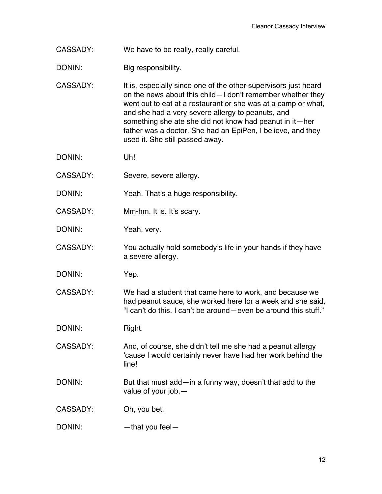- CASSADY: We have to be really, really careful.
- DONIN: Big responsibility.
- CASSADY: It is, especially since one of the other supervisors just heard on the news about this child—I don't remember whether they went out to eat at a restaurant or she was at a camp or what, and she had a very severe allergy to peanuts, and something she ate she did not know had peanut in it—her father was a doctor. She had an EpiPen, I believe, and they used it. She still passed away.
- DONIN: Uh!
- CASSADY: Severe, severe allergy.
- DONIN: Yeah. That's a huge responsibility.
- CASSADY: Mm-hm. It is. It's scary.
- DONIN: Yeah, very.
- CASSADY: You actually hold somebody's life in your hands if they have a severe allergy.
- DONIN: Yep.
- CASSADY: We had a student that came here to work, and because we had peanut sauce, she worked here for a week and she said, "I can't do this. I can't be around—even be around this stuff."
- DONIN: Right.
- CASSADY: And, of course, she didn't tell me she had a peanut allergy 'cause I would certainly never have had her work behind the line!
- DONIN: But that must add—in a funny way, doesn't that add to the value of your job,—
- CASSADY: Oh, you bet.
- DONIN: —that you feel—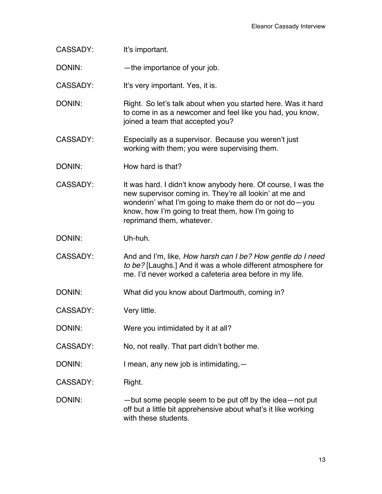| <b>CASSADY:</b> | It's important.                                                                                                                                                                                                                                                        |
|-----------------|------------------------------------------------------------------------------------------------------------------------------------------------------------------------------------------------------------------------------------------------------------------------|
| DONIN:          | -the importance of your job.                                                                                                                                                                                                                                           |
| CASSADY:        | It's very important. Yes, it is.                                                                                                                                                                                                                                       |
| DONIN:          | Right. So let's talk about when you started here. Was it hard<br>to come in as a newcomer and feel like you had, you know,<br>joined a team that accepted you?                                                                                                         |
| CASSADY:        | Especially as a supervisor. Because you weren't just<br>working with them; you were supervising them.                                                                                                                                                                  |
| DONIN:          | How hard is that?                                                                                                                                                                                                                                                      |
| CASSADY:        | It was hard. I didn't know anybody here. Of course, I was the<br>new supervisor coming in. They're all lookin' at me and<br>wonderin' what I'm going to make them do or not do-you<br>know, how I'm going to treat them, how I'm going to<br>reprimand them, whatever. |
| DONIN:          | Uh-huh.                                                                                                                                                                                                                                                                |
| CASSADY:        | And and I'm, like, How harsh can I be? How gentle do I need<br>to be? [Laughs.] And it was a whole different atmosphere for<br>me. I'd never worked a cafeteria area before in my life.                                                                                |
| DONIN:          | What did you know about Dartmouth, coming in?                                                                                                                                                                                                                          |
| <b>CASSADY:</b> | Very little.                                                                                                                                                                                                                                                           |
| DONIN:          | Were you intimidated by it at all?                                                                                                                                                                                                                                     |
| <b>CASSADY:</b> | No, not really. That part didn't bother me.                                                                                                                                                                                                                            |
| DONIN:          | I mean, any new job is intimidating, -                                                                                                                                                                                                                                 |
| <b>CASSADY:</b> | Right.                                                                                                                                                                                                                                                                 |
| DONIN:          | -but some people seem to be put off by the idea-not put<br>off but a little bit apprehensive about what's it like working<br>with these students.                                                                                                                      |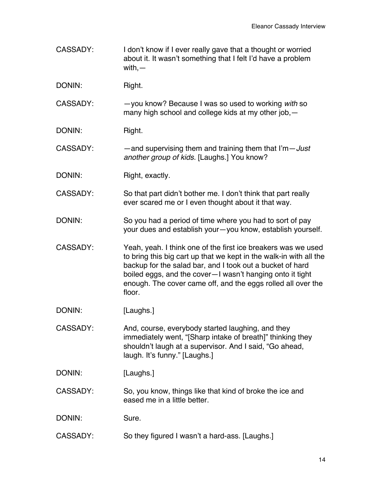- CASSADY: I don't know if I ever really gave that a thought or worried about it. It wasn't something that I felt I'd have a problem with,—
- DONIN: Right.

CASSADY: —you know? Because I was so used to working *with* so many high school and college kids at my other job,—

- DONIN: Right.
- CASSADY: —and supervising them and training them that I'm—*Just another group of kids.* [Laughs.] You know?
- DONIN: Right, exactly.

CASSADY: So that part didn't bother me. I don't think that part really ever scared me or I even thought about it that way.

- DONIN: So you had a period of time where you had to sort of pay your dues and establish your—you know, establish yourself.
- CASSADY: Yeah, yeah. I think one of the first ice breakers was we used to bring this big cart up that we kept in the walk-in with all the backup for the salad bar, and I took out a bucket of hard boiled eggs, and the cover—I wasn't hanging onto it tight enough. The cover came off, and the eggs rolled all over the floor.
- DONIN: [Laughs.]
- CASSADY: And, course, everybody started laughing, and they immediately went, "[Sharp intake of breath]" thinking they shouldn't laugh at a supervisor. And I said, "Go ahead, laugh. It's funny." [Laughs.]
- DONIN: [Laughs.]
- CASSADY: So, you know, things like that kind of broke the ice and eased me in a little better.
- DONIN: Sure.
- CASSADY: So they figured I wasn't a hard-ass. [Laughs.]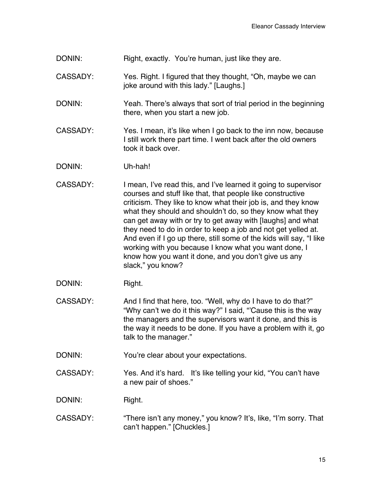- DONIN: Right, exactly. You're human, just like they are.
- CASSADY: Yes. Right. I figured that they thought, "Oh, maybe we can ioke around with this lady." [Laughs.]
- DONIN: Yeah. There's always that sort of trial period in the beginning there, when you start a new job.
- CASSADY: Yes. I mean, it's like when I go back to the inn now, because I still work there part time. I went back after the old owners took it back over.
- DONIN: Uh-hah!
- CASSADY: I mean, I've read this, and I've learned it going to supervisor courses and stuff like that, that people like constructive criticism. They like to know what their job is, and they know what they should and shouldn't do, so they know what they can get away with or try to get away with [laughs] and what they need to do in order to keep a job and not get yelled at. And even if I go up there, still some of the kids will say, "I like working with you because I know what you want done, I know how you want it done, and you don't give us any slack," you know?
- DONIN: Right.
- CASSADY: And I find that here, too. "Well, why do I have to do that?" "Why can't we do it this way?" I said, "'Cause this is the way the managers and the supervisors want it done, and this is the way it needs to be done. If you have a problem with it, go talk to the manager."
- DONIN: You're clear about your expectations.
- CASSADY: Yes. And it's hard. It's like telling your kid, "You can't have a new pair of shoes."

DONIN: Right.

CASSADY: "There isn't any money," you know? It's, like, "I'm sorry. That can't happen." [Chuckles.]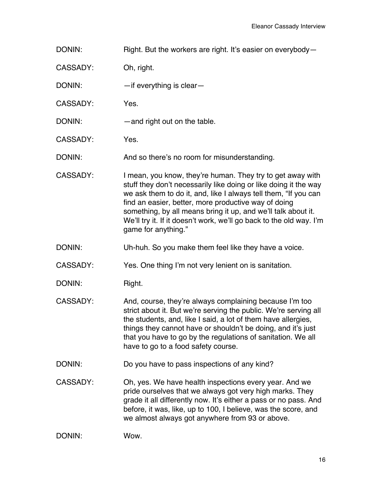DONIN: Right. But the workers are right. It's easier on everybody-

CASSADY: Oh, right.

DONIN: — — — if everything is clear—

CASSADY: Yes.

- DONIN: — and right out on the table.
- CASSADY: Yes.

DONIN: And so there's no room for misunderstanding.

- CASSADY: I mean, you know, they're human. They try to get away with stuff they don't necessarily like doing or like doing it the way we ask them to do it, and, like I always tell them, "If you can find an easier, better, more productive way of doing something, by all means bring it up, and we'll talk about it. We'll try it. If it doesn't work, we'll go back to the old way. I'm game for anything."
- DONIN: Uh-huh. So you make them feel like they have a voice.

CASSADY: Yes. One thing I'm not very lenient on is sanitation.

- DONIN: Right.
- CASSADY: And, course, they're always complaining because I'm too strict about it. But we're serving the public. We're serving all the students, and, like I said, a lot of them have allergies, things they cannot have or shouldn't be doing, and it's just that you have to go by the regulations of sanitation. We all have to go to a food safety course.
- DONIN: Do you have to pass inspections of any kind?
- CASSADY: Oh, yes. We have health inspections every year. And we pride ourselves that we always got very high marks. They grade it all differently now. It's either a pass or no pass. And before, it was, like, up to 100, I believe, was the score, and we almost always got anywhere from 93 or above.

DONIN: Wow.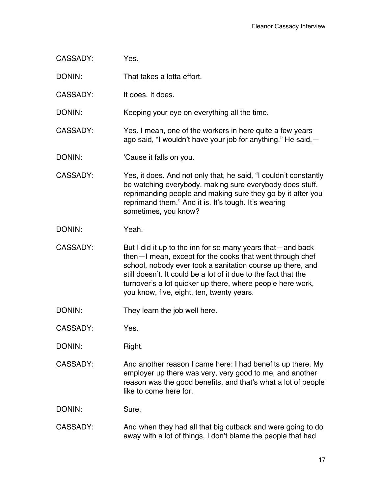| <b>CASSADY:</b> | Yes.                                                                                                                                                                                                                                                                                                                                                               |
|-----------------|--------------------------------------------------------------------------------------------------------------------------------------------------------------------------------------------------------------------------------------------------------------------------------------------------------------------------------------------------------------------|
| DONIN:          | That takes a lotta effort.                                                                                                                                                                                                                                                                                                                                         |
| <b>CASSADY:</b> | It does. It does.                                                                                                                                                                                                                                                                                                                                                  |
| DONIN:          | Keeping your eye on everything all the time.                                                                                                                                                                                                                                                                                                                       |
| <b>CASSADY:</b> | Yes. I mean, one of the workers in here quite a few years<br>ago said, "I wouldn't have your job for anything." He said, -                                                                                                                                                                                                                                         |
| DONIN:          | 'Cause it falls on you.                                                                                                                                                                                                                                                                                                                                            |
| CASSADY:        | Yes, it does. And not only that, he said, "I couldn't constantly<br>be watching everybody, making sure everybody does stuff,<br>reprimanding people and making sure they go by it after you<br>reprimand them." And it is. It's tough. It's wearing<br>sometimes, you know?                                                                                        |
| DONIN:          | Yeah.                                                                                                                                                                                                                                                                                                                                                              |
| CASSADY:        | But I did it up to the inn for so many years that—and back<br>then-I mean, except for the cooks that went through chef<br>school, nobody ever took a sanitation course up there, and<br>still doesn't. It could be a lot of it due to the fact that the<br>turnover's a lot quicker up there, where people here work,<br>you know, five, eight, ten, twenty years. |
| DONIN:          | They learn the job well here.                                                                                                                                                                                                                                                                                                                                      |
| <b>CASSADY:</b> | Yes.                                                                                                                                                                                                                                                                                                                                                               |
| DONIN:          | Right.                                                                                                                                                                                                                                                                                                                                                             |
| <b>CASSADY:</b> | And another reason I came here: I had benefits up there. My<br>employer up there was very, very good to me, and another<br>reason was the good benefits, and that's what a lot of people<br>like to come here for.                                                                                                                                                 |
| DONIN:          | Sure.                                                                                                                                                                                                                                                                                                                                                              |
| CASSADY:        | And when they had all that big cutback and were going to do<br>away with a lot of things, I don't blame the people that had                                                                                                                                                                                                                                        |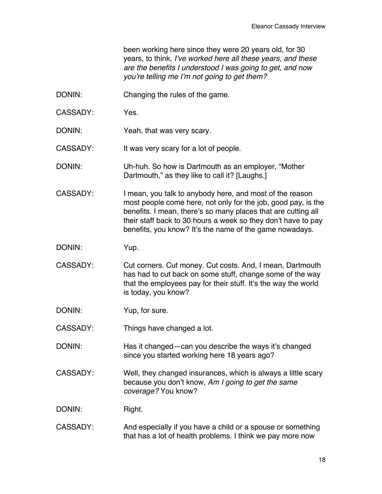been working here since they were 20 years old, for 30 years, to think, *I've worked here all these years, and these are the benefits I understood I was going to get, and now you're telling me I'm not going to get them?*

- DONIN: Changing the rules of the game.
- CASSADY: Yes.
- DONIN: Yeah, that was very scary.

CASSADY: It was very scary for a lot of people.

- DONIN: Uh-huh. So how is Dartmouth as an employer, "Mother Dartmouth," as they like to call it? [Laughs.]
- CASSADY: I mean, you talk to anybody here, and most of the reason most people come here, not only for the job, good pay, is the benefits. I mean, there's so many places that are cutting all their staff back to 30 hours a week so they don't have to pay benefits, you know? It's the name of the game nowadays.
- DONIN: Yup.
- CASSADY: Cut corners. Cut money. Cut costs. And, I mean, Dartmouth has had to cut back on some stuff, change some of the way that the employees pay for their stuff. It's the way the world is today, you know?
- DONIN: Yup, for sure.
- CASSADY: Things have changed a lot.
- DONIN: Has it changed—can you describe the ways it's changed since you started working here 18 years ago?
- CASSADY: Well, they changed insurances, which is always a little scary because you don't know, *Am I going to get the same coverage?* You know?
- DONIN: Right.
- CASSADY: And especially if you have a child or a spouse or something that has a lot of health problems. I think we pay more now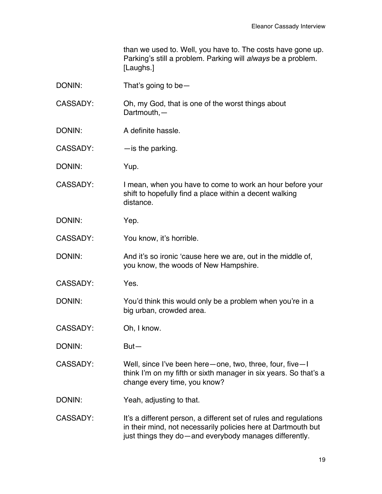than we used to. Well, you have to. The costs have gone up. Parking's still a problem. Parking will *always* be a problem. [Laughs.]

| DONIN:          | That's going to be $-$                                                                                                                                                                       |
|-----------------|----------------------------------------------------------------------------------------------------------------------------------------------------------------------------------------------|
| <b>CASSADY:</b> | Oh, my God, that is one of the worst things about<br>Dartmouth,-                                                                                                                             |
| DONIN:          | A definite hassle.                                                                                                                                                                           |
| CASSADY:        | $-$ is the parking.                                                                                                                                                                          |
| DONIN:          | Yup.                                                                                                                                                                                         |
| CASSADY:        | I mean, when you have to come to work an hour before your<br>shift to hopefully find a place within a decent walking<br>distance.                                                            |
| DONIN:          | Yep.                                                                                                                                                                                         |
| <b>CASSADY:</b> | You know, it's horrible.                                                                                                                                                                     |
| DONIN:          | And it's so ironic 'cause here we are, out in the middle of,<br>you know, the woods of New Hampshire.                                                                                        |
| CASSADY:        | Yes.                                                                                                                                                                                         |
| DONIN:          | You'd think this would only be a problem when you're in a<br>big urban, crowded area.                                                                                                        |
| <b>CASSADY:</b> | Oh, I know.                                                                                                                                                                                  |
| DONIN:          | $But -$                                                                                                                                                                                      |
| <b>CASSADY:</b> | Well, since I've been here – one, two, three, four, five – I<br>think I'm on my fifth or sixth manager in six years. So that's a<br>change every time, you know?                             |
| DONIN:          | Yeah, adjusting to that.                                                                                                                                                                     |
| <b>CASSADY:</b> | It's a different person, a different set of rules and regulations<br>in their mind, not necessarily policies here at Dartmouth but<br>just things they do-and everybody manages differently. |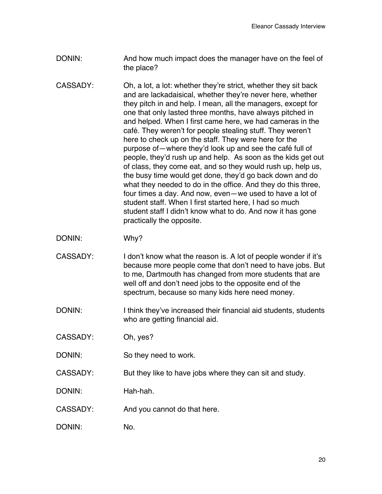- DONIN: And how much impact does the manager have on the feel of the place?
- CASSADY: Oh, a lot, a lot: whether they're strict, whether they sit back and are lackadaisical, whether they're never here, whether they pitch in and help. I mean, all the managers, except for one that only lasted three months, have always pitched in and helped. When I first came here, we had cameras in the café. They weren't for people stealing stuff. They weren't here to check up on the staff. They were here for the purpose of—where they'd look up and see the café full of people, they'd rush up and help. As soon as the kids get out of class, they come eat, and so they would rush up, help us, the busy time would get done, they'd go back down and do what they needed to do in the office. And they do this three, four times a day. And now, even—we used to have a lot of student staff. When I first started here, I had so much student staff I didn't know what to do. And now it has gone practically the opposite.
- DONIN: Why?
- CASSADY: I don't know what the reason is. A lot of people wonder if it's because more people come that don't need to have jobs. But to me, Dartmouth has changed from more students that are well off and don't need jobs to the opposite end of the spectrum, because so many kids here need money.
- DONIN: I think they've increased their financial aid students, students who are getting financial aid.
- CASSADY: Oh, yes?
- DONIN: So they need to work.
- CASSADY: But they like to have jobs where they can sit and study.
- DONIN: Hah-hah.
- CASSADY: And you cannot do that here.
- DONIN: No.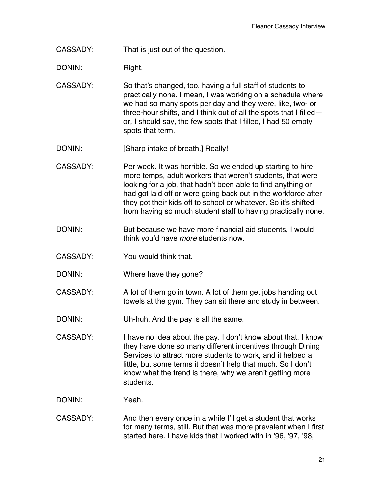CASSADY: That is just out of the question.

DONIN: Right.

- CASSADY: So that's changed, too, having a full staff of students to practically none. I mean, I was working on a schedule where we had so many spots per day and they were, like, two- or three-hour shifts, and I think out of all the spots that I filled or, I should say, the few spots that I filled, I had 50 empty spots that term.
- DONIN: [Sharp intake of breath.] Really!
- CASSADY: Per week. It was horrible. So we ended up starting to hire more temps, adult workers that weren't students, that were looking for a job, that hadn't been able to find anything or had got laid off or were going back out in the workforce after they got their kids off to school or whatever. So it's shifted from having so much student staff to having practically none.
- DONIN: But because we have more financial aid students, I would think you'd have *more* students now.
- CASSADY: You would think that.
- DONIN: Where have they gone?
- CASSADY: A lot of them go in town. A lot of them get jobs handing out towels at the gym. They can sit there and study in between.
- DONIN: Uh-huh. And the pay is all the same.
- CASSADY: I have no idea about the pay. I don't know about that. I know they have done so many different incentives through Dining Services to attract more students to work, and it helped a little, but some terms it doesn't help that much. So I don't know what the trend is there, why we aren't getting more students.
- DONIN: Yeah.
- CASSADY: And then every once in a while I'll get a student that works for many terms, still. But that was more prevalent when I first started here. I have kids that I worked with in '96, '97, '98,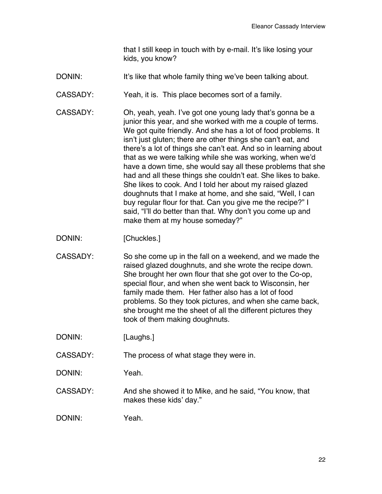that I still keep in touch with by e-mail. It's like losing your kids, you know?

- DONIN: It's like that whole family thing we've been talking about.
- CASSADY: Yeah, it is. This place becomes sort of a family.
- CASSADY: Oh, yeah, yeah. I've got one young lady that's gonna be a junior this year, and she worked with me a couple of terms. We got quite friendly. And she has a lot of food problems. It isn't just gluten; there are other things she can't eat, and there's a lot of things she can't eat. And so in learning about that as we were talking while she was working, when we'd have a down time, she would say all these problems that she had and all these things she couldn't eat. She likes to bake. She likes to cook. And I told her about my raised glazed doughnuts that I make at home, and she said, "Well, I can buy regular flour for that. Can you give me the recipe?" I said, "I'll do better than that. Why don't you come up and make them at my house someday?"
- DONIN: [Chuckles.]
- CASSADY: So she come up in the fall on a weekend, and we made the raised glazed doughnuts, and she wrote the recipe down. She brought her own flour that she got over to the Co-op, special flour, and when she went back to Wisconsin, her family made them. Her father also has a lot of food problems. So they took pictures, and when she came back, she brought me the sheet of all the different pictures they took of them making doughnuts.
- DONIN: [Laughs.]
- CASSADY: The process of what stage they were in.
- DONIN: Yeah.
- CASSADY: And she showed it to Mike, and he said, "You know, that makes these kids' day."
- DONIN: Yeah.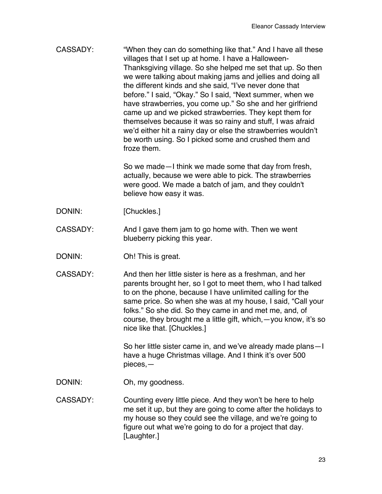CASSADY: "When they can do something like that." And I have all these villages that I set up at home. I have a Halloween-Thanksgiving village. So she helped me set that up. So then we were talking about making jams and jellies and doing all the different kinds and she said, "I've never done that before." I said, "Okay." So I said, "Next summer, when we have strawberries, you come up." So she and her girlfriend came up and we picked strawberries. They kept them for themselves because it was so rainy and stuff, I was afraid we'd either hit a rainy day or else the strawberries wouldn't be worth using. So I picked some and crushed them and froze them.

> So we made—I think we made some that day from fresh, actually, because we were able to pick. The strawberries were good. We made a batch of jam, and they couldn't believe how easy it was.

- DONIN: [Chuckles.]
- CASSADY: And I gave them jam to go home with. Then we went blueberry picking this year.
- DONIN: Oh! This is great.
- CASSADY: And then her little sister is here as a freshman, and her parents brought her, so I got to meet them, who I had talked to on the phone, because I have unlimited calling for the same price. So when she was at my house, I said, "Call your folks." So she did. So they came in and met me, and, of course, they brought me a little gift, which,—you know, it's so nice like that. [Chuckles.]

So her little sister came in, and we've already made plans—I have a huge Christmas village. And I think it's over 500 pieces,—

- DONIN: Oh, my goodness.
- CASSADY: Counting every little piece. And they won't be here to help me set it up, but they are going to come after the holidays to my house so they could see the village, and we're going to figure out what we're going to do for a project that day. [Laughter.]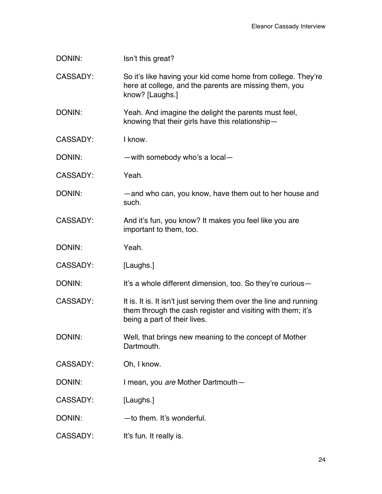| DONIN:          | Isn't this great?                                                                                                                                                 |
|-----------------|-------------------------------------------------------------------------------------------------------------------------------------------------------------------|
| <b>CASSADY:</b> | So it's like having your kid come home from college. They're<br>here at college, and the parents are missing them, you<br>know? [Laughs.]                         |
| DONIN:          | Yeah. And imagine the delight the parents must feel,<br>knowing that their girls have this relationship-                                                          |
| <b>CASSADY:</b> | I know.                                                                                                                                                           |
| DONIN:          | $-$ with somebody who's a local $-$                                                                                                                               |
| CASSADY:        | Yeah.                                                                                                                                                             |
| DONIN:          | -and who can, you know, have them out to her house and<br>such.                                                                                                   |
| CASSADY:        | And it's fun, you know? It makes you feel like you are<br>important to them, too.                                                                                 |
| DONIN:          | Yeah.                                                                                                                                                             |
| <b>CASSADY:</b> | [Laughs.]                                                                                                                                                         |
| DONIN:          | It's a whole different dimension, too. So they're curious -                                                                                                       |
| <b>CASSADY:</b> | It is. It is. It isn't just serving them over the line and running<br>them through the cash register and visiting with them; it's<br>being a part of their lives. |
| DONIN:          | Well, that brings new meaning to the concept of Mother<br>Dartmouth.                                                                                              |
| CASSADY:        | Oh, I know.                                                                                                                                                       |
| DONIN:          | I mean, you are Mother Dartmouth-                                                                                                                                 |
| <b>CASSADY:</b> | [Laughs.]                                                                                                                                                         |
| DONIN:          | -to them. It's wonderful.                                                                                                                                         |
| CASSADY:        | It's fun. It really is.                                                                                                                                           |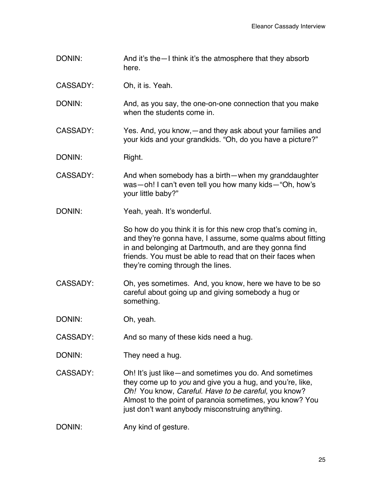DONIN: And it's the - I think it's the atmosphere that they absorb here.

CASSADY: Oh, it is. Yeah.

DONIN: And, as you say, the one-on-one connection that you make when the students come in.

CASSADY: Yes. And, you know,—and they ask about your families and your kids and your grandkids. "Oh, do you have a picture?"

DONIN: Right.

- CASSADY: And when somebody has a birth—when my granddaughter was—oh! I can't even tell you how many kids—"Oh, how's your little baby?"
- DONIN: Yeah, yeah. It's wonderful.

So how do you think it is for this new crop that's coming in, and they're gonna have, I assume, some qualms about fitting in and belonging at Dartmouth, and are they gonna find friends. You must be able to read that on their faces when they're coming through the lines.

CASSADY: Oh, yes sometimes. And, you know, here we have to be so careful about going up and giving somebody a hug or something.

DONIN: Oh, yeah.

CASSADY: And so many of these kids need a hug.

- DONIN: They need a hug.
- CASSADY: Oh! It's just like—and sometimes you do. And sometimes they come up to *you* and give you a hug, and you're, like, *Oh!* You know, *Careful. Have to be careful,* you know? Almost to the point of paranoia sometimes, you know? You just don't want anybody misconstruing anything.
- DONIN: Any kind of gesture.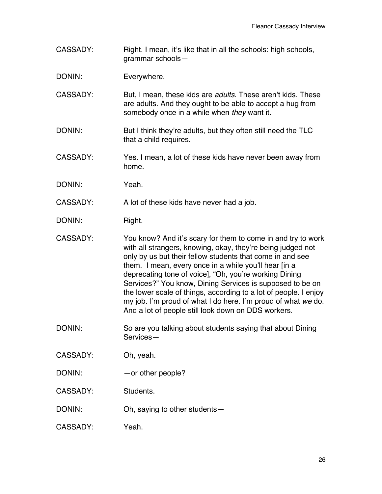CASSADY: Right. I mean, it's like that in all the schools: high schools, grammar schools—

DONIN: Everywhere.

- CASSADY: But, I mean, these kids are *adults*. These aren't kids. These are adults. And they ought to be able to accept a hug from somebody once in a while when *they* want it.
- DONIN: But I think they're adults, but they often still need the TLC that a child requires.
- CASSADY: Yes. I mean, a lot of these kids have never been away from home.
- DONIN: Yeah.
- CASSADY: A lot of these kids have never had a job.
- DONIN: Right.
- CASSADY: You know? And it's scary for them to come in and try to work with all strangers, knowing, okay, they're being judged not only by us but their fellow students that come in and see them. I mean, every once in a while you'll hear [in a deprecating tone of voice], "Oh, you're working Dining Services?" You know, Dining Services is supposed to be on the lower scale of things, according to a lot of people. I enjoy my job. I'm proud of what I do here. I'm proud of what *we* do. And a lot of people still look down on DDS workers.
- DONIN: So are you talking about students saying that about Dining Services—
- CASSADY: Oh, yeah.
- DONIN: — or other people?
- CASSADY: Students.
- DONIN: Oh, saying to other students—
- CASSADY: Yeah.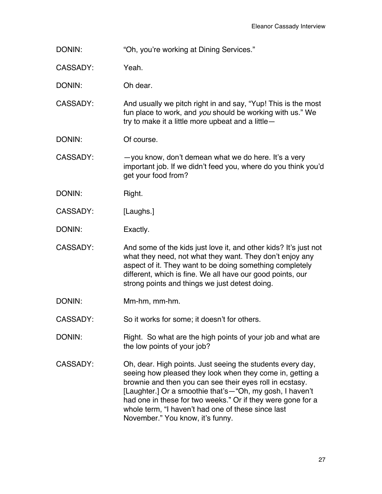DONIN: "Oh, you're working at Dining Services."

CASSADY: Yeah.

DONIN: Oh dear.

CASSADY: And usually we pitch right in and say, "Yup! This is the most fun place to work, and *you* should be working with us." We try to make it a little more upbeat and a little—

DONIN: Of course.

CASSADY: —you know, don't demean what we do here. It's a very important job. If we didn't feed you, where do you think you'd get your food from?

DONIN: Right.

CASSADY: [Laughs.]

DONIN: Exactly.

CASSADY: And some of the kids just love it, and other kids? It's just not what they need, not what they want. They don't enjoy any aspect of it. They want to be doing something completely different, which is fine. We all have our good points, our strong points and things we just detest doing.

DONIN: Mm-hm, mm-hm.

CASSADY: So it works for some; it doesn't for others.

DONIN: Right. So what are the high points of your job and what are the low points of your job?

CASSADY: Oh, dear. High points. Just seeing the students every day, seeing how pleased they look when they come in, getting a brownie and then you can see their eyes roll in ecstasy. [Laughter.] Or a smoothie that's—"Oh, my gosh, I haven't had one in these for two weeks." Or if they were gone for a whole term, "I haven't had one of these since last November." You know, it's funny.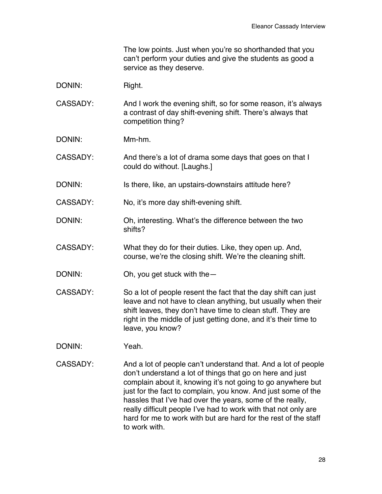The low points. Just when you're so shorthanded that you can't perform your duties and give the students as good a service as they deserve.

- DONIN: Right.
- CASSADY: And I work the evening shift, so for some reason, it's always a contrast of day shift-evening shift. There's always that competition thing?
- DONIN: Mm-hm.
- CASSADY: And there's a lot of drama some days that goes on that I could do without. [Laughs.]
- DONIN: Is there, like, an upstairs-downstairs attitude here?

CASSADY: No, it's more day shift-evening shift.

- DONIN: Oh, interesting. What's the difference between the two shifts?
- CASSADY: What they do for their duties. Like, they open up. And, course, we're the closing shift. We're the cleaning shift.

DONIN: Oh, you get stuck with the —

- CASSADY: So a lot of people resent the fact that the day shift can just leave and not have to clean anything, but usually when their shift leaves, they don't have time to clean stuff. They are right in the middle of just getting done, and it's their time to leave, you know?
- DONIN: Yeah.
- CASSADY: And a lot of people can't understand that. And a lot of people don't understand a lot of things that go on here and just complain about it, knowing it's not going to go anywhere but just for the fact to complain, you know. And just some of the hassles that I've had over the years, some of the really, really difficult people I've had to work with that not only are hard for me to work with but are hard for the rest of the staff to work with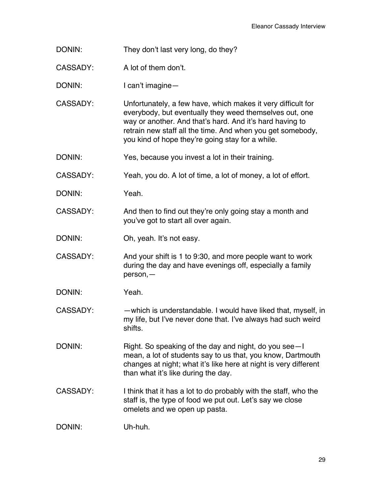DONIN: They don't last very long, do they?

CASSADY: A lot of them don't.

DONIN: I can't imagine—

CASSADY: Unfortunately, a few have, which makes it very difficult for everybody, but eventually they weed themselves out, one way or another. And that's hard. And it's hard having to retrain new staff all the time. And when you get somebody, you kind of hope they're going stay for a while.

DONIN: Yes, because you invest a lot in their training.

CASSADY: Yeah, you do. A lot of time, a lot of money, a lot of effort.

DONIN: Yeah.

CASSADY: And then to find out they're only going stay a month and you've got to start all over again.

DONIN: Oh, yeah. It's not easy.

CASSADY: And your shift is 1 to 9:30, and more people want to work during the day and have evenings off, especially a family person,—

DONIN: Yeah.

CASSADY: —which is understandable. I would have liked that, myself, in my life, but I've never done that. I've always had such weird shifts.

DONIN: Right. So speaking of the day and night, do you see—I mean, a lot of students say to us that, you know, Dartmouth changes at night; what it's like here at night is very different than what it's like during the day.

CASSADY: I think that it has a lot to do probably with the staff, who the staff is, the type of food we put out. Let's say we close omelets and we open up pasta.

DONIN: Uh-huh.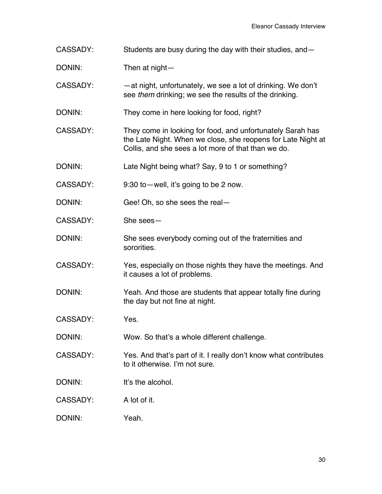- CASSADY: Students are busy during the day with their studies, and—
- DONIN: Then at night-
- CASSADY: —at night, unfortunately, we see a lot of drinking. We don't see *them* drinking; we see the results of the drinking.
- DONIN: They come in here looking for food, right?
- CASSADY: They come in looking for food, and unfortunately Sarah has the Late Night. When we close, she reopens for Late Night at Collis, and she sees a lot more of that than we do.
- DONIN: Late Night being what? Say, 9 to 1 or something?
- CASSADY: 9:30 to—well, it's going to be 2 now.
- DONIN: Gee! Oh, so she sees the real—
- CASSADY: She sees—
- DONIN: She sees everybody coming out of the fraternities and sororities.
- CASSADY: Yes, especially on those nights they have the meetings. And it causes a lot of problems.
- DONIN: Yeah. And those are students that appear totally fine during the day but not fine at night.
- CASSADY: Yes.
- DONIN: Wow. So that's a whole different challenge.
- CASSADY: Yes. And that's part of it. I really don't know what contributes to it otherwise. I'm not sure.
- DONIN: It's the alcohol
- CASSADY: A lot of it.
- DONIN: Yeah.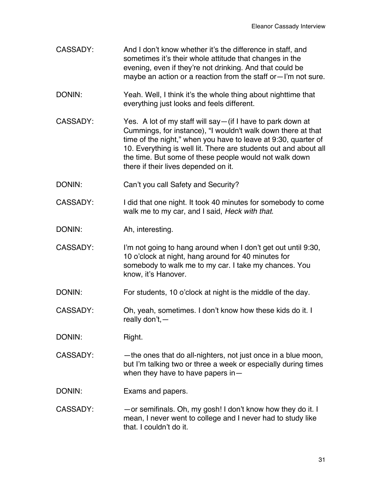- CASSADY: And I don't know whether it's the difference in staff, and sometimes it's their whole attitude that changes in the evening, even if they're not drinking. And that could be maybe an action or a reaction from the staff or—I'm not sure.
- DONIN: Yeah. Well, I think it's the whole thing about nighttime that everything just looks and feels different.
- CASSADY: Yes. A lot of my staff will say—(if I have to park down at Cummings, for instance), "I wouldn't walk down there at that time of the night," when you have to leave at 9:30, quarter of 10. Everything is well lit. There are students out and about all the time. But some of these people would not walk down there if their lives depended on it.
- DONIN: Can't you call Safety and Security?
- CASSADY: I did that one night. It took 40 minutes for somebody to come walk me to my car, and I said, *Heck with that*.
- DONIN: Ah, interesting.
- CASSADY: I'm not going to hang around when I don't get out until 9:30, 10 o'clock at night, hang around for 40 minutes for somebody to walk me to my car. I take my chances. You know, it's Hanover.
- DONIN: For students, 10 o'clock at night is the middle of the day.
- CASSADY: Oh, yeah, sometimes. I don't know how these kids do it. I really don't,—
- DONIN: Right.
- CASSADY: — the ones that do all-nighters, not just once in a blue moon, but I'm talking two or three a week or especially during times when they have to have papers in—
- DONIN: Exams and papers.
- CASSADY: —or semifinals. Oh, my gosh! I don't know how they do it. I mean, I never went to college and I never had to study like that. I couldn't do it.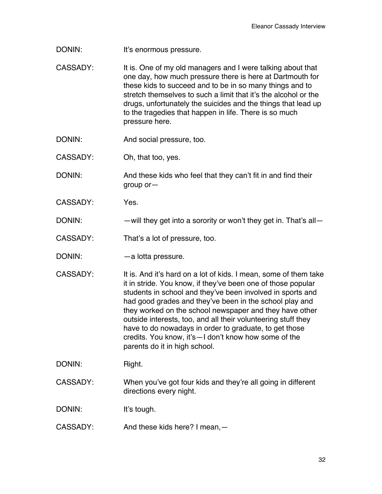- DONIN: It's enormous pressure.
- CASSADY: It is. One of my old managers and I were talking about that one day, how much pressure there is here at Dartmouth for these kids to succeed and to be in so many things and to stretch themselves to such a limit that it's the alcohol or the drugs, unfortunately the suicides and the things that lead up to the tragedies that happen in life. There is so much pressure here.
- DONIN: And social pressure, too.
- CASSADY: Oh, that too, yes.

DONIN: And these kids who feel that they can't fit in and find their group or—

- CASSADY: Yes.
- DONIN: —will they get into a sorority or won't they get in. That's all
- CASSADY: That's a lot of pressure, too.
- DONIN: — a lotta pressure.
- CASSADY: It is. And it's hard on a lot of kids. I mean, some of them take it in stride. You know, if they've been one of those popular students in school and they've been involved in sports and had good grades and they've been in the school play and they worked on the school newspaper and they have other outside interests, too, and all their volunteering stuff they have to do nowadays in order to graduate, to get those credits. You know, it's—I don't know how some of the parents do it in high school.

DONIN: Right.

CASSADY: When you've got four kids and they're all going in different directions every night.

DONIN: It's tough.

CASSADY: And these kids here? I mean,—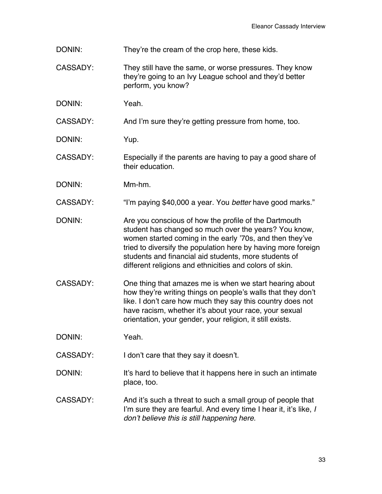- DONIN: They're the cream of the crop here, these kids.
- CASSADY: They still have the same, or worse pressures. They know they're going to an Ivy League school and they'd better perform, you know?
- DONIN: Yeah.

CASSADY: And I'm sure they're getting pressure from home, too.

- DONIN: Yup.
- CASSADY: Especially if the parents are having to pay a good share of their education.
- DONIN: Mm-hm.
- CASSADY: "I'm paying \$40,000 a year. You *better* have good marks."
- DONIN: Are you conscious of how the profile of the Dartmouth student has changed so much over the years? You know, women started coming in the early '70s, and then they've tried to diversify the population here by having more foreign students and financial aid students, more students of different religions and ethnicities and colors of skin.
- CASSADY: One thing that amazes me is when we start hearing about how they're writing things on people's walls that they don't like. I don't care how much they say this country does not have racism, whether it's about your race, your sexual orientation, your gender, your religion, it still exists.

DONIN: Yeah.

CASSADY: I don't care that they say it doesn't.

- DONIN: It's hard to believe that it happens here in such an intimate place, too.
- CASSADY: And it's such a threat to such a small group of people that I'm sure they are fearful. And every time I hear it, it's like, *I don't believe this is still happening here.*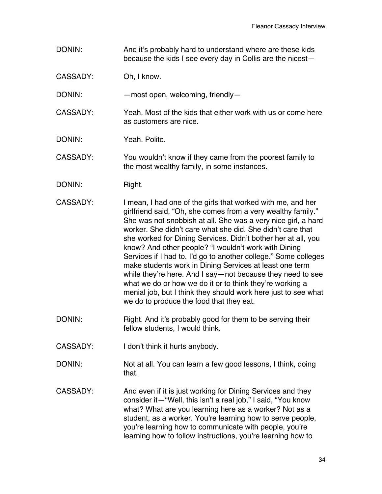DONIN: And it's probably hard to understand where are these kids because the kids I see every day in Collis are the nicest—

CASSADY: Oh, I know.

DONIN: — most open, welcoming, friendly

- CASSADY: Yeah. Most of the kids that either work with us or come here as customers are nice.
- DONIN: Yeah. Polite.

CASSADY: You wouldn't know if they came from the poorest family to the most wealthy family, in some instances.

- DONIN: Right.
- CASSADY: I mean, I had one of the girls that worked with me, and her girlfriend said, "Oh, she comes from a very wealthy family." She was not snobbish at all. She was a very nice girl, a hard worker. She didn't care what she did. She didn't care that she worked for Dining Services. Didn't bother her at all, you know? And other people? "I wouldn't work with Dining Services if I had to. I'd go to another college." Some colleges make students work in Dining Services at least one term while they're here. And I say—not because they need to see what we do or how we do it or to think they're working a menial job, but I think they should work here just to see what we do to produce the food that they eat.
- DONIN: Right. And it's probably good for them to be serving their fellow students, I would think.
- CASSADY: I don't think it hurts anybody.
- DONIN: Not at all. You can learn a few good lessons, I think, doing that.
- CASSADY: And even if it is just working for Dining Services and they consider it—"Well, this isn't a real job," I said, "You know what? What are you learning here as a worker? Not as a student, as a worker. You're learning how to serve people, you're learning how to communicate with people, you're learning how to follow instructions, you're learning how to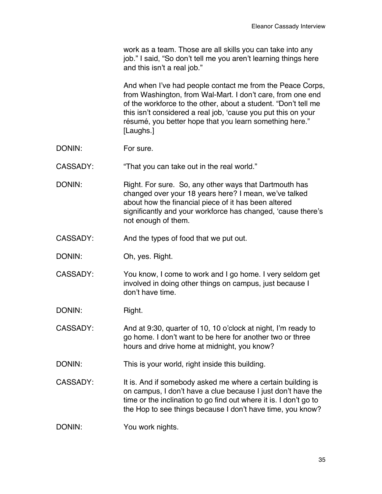work as a team. Those are all skills you can take into any job." I said, "So don't tell me you aren't learning things here and this isn't a real job."

And when I've had people contact me from the Peace Corps, from Washington, from Wal-Mart. I don't care, from one end of the workforce to the other, about a student. "Don't tell me this isn't considered a real job, 'cause you put this on your résumé, you better hope that you learn something here." [Laughs.]

- DONIN: For sure.
- CASSADY: "That you can take out in the real world."
- DONIN: Right. For sure. So, any other ways that Dartmouth has changed over your 18 years here? I mean, we've talked about how the financial piece of it has been altered significantly and your workforce has changed, 'cause there's not enough of them.
- CASSADY: And the types of food that we put out.
- DONIN: Oh, yes. Right.
- CASSADY: You know, I come to work and I go home. I very seldom get involved in doing other things on campus, just because I don't have time.

DONIN: Right.

CASSADY: And at 9:30, quarter of 10, 10 o'clock at night, I'm ready to go home. I don't want to be here for another two or three hours and drive home at midnight, you know?

DONIN: This is your world, right inside this building.

CASSADY: It is. And if somebody asked me where a certain building is on campus, I don't have a clue because I just don't have the time or the inclination to go find out where it is. I don't go to the Hop to see things because I don't have time, you know?

DONIN: You work nights.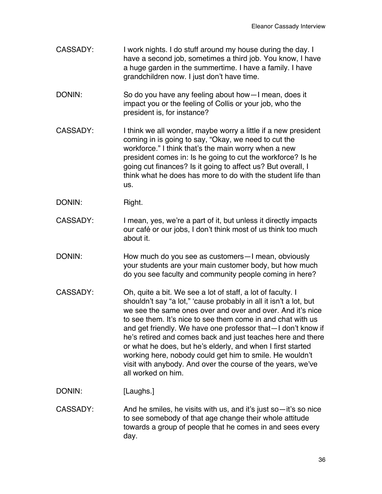- CASSADY: I work nights. I do stuff around my house during the day. I have a second job, sometimes a third job. You know, I have a huge garden in the summertime. I have a family. I have grandchildren now. I just don't have time.
- DONIN: So do you have any feeling about how—I mean, does it impact you or the feeling of Collis or your job, who the president is, for instance?
- CASSADY: I think we all wonder, maybe worry a little if a new president coming in is going to say, "Okay, we need to cut the workforce." I think that's the main worry when a new president comes in: Is he going to cut the workforce? Is he going cut finances? Is it going to affect us? But overall, I think what he does has more to do with the student life than us.
- DONIN: Right.
- CASSADY: I mean, yes, we're a part of it, but unless it directly impacts our café or our jobs, I don't think most of us think too much about it.
- DONIN: How much do you see as customers—I mean, obviously your students are your main customer body, but how much do you see faculty and community people coming in here?
- CASSADY: Oh, quite a bit. We see a lot of staff, a lot of faculty. I shouldn't say "a lot," 'cause probably in all it isn't a lot, but we see the same ones over and over and over. And it's nice to see them. It's nice to see them come in and chat with us and get friendly. We have one professor that—I don't know if he's retired and comes back and just teaches here and there or what he does, but he's elderly, and when I first started working here, nobody could get him to smile. He wouldn't visit with anybody. And over the course of the years, we've all worked on him.
- DONIN: [Laughs.]
- CASSADY: And he smiles, he visits with us, and it's just so—it's so nice to see somebody of that age change their whole attitude towards a group of people that he comes in and sees every day.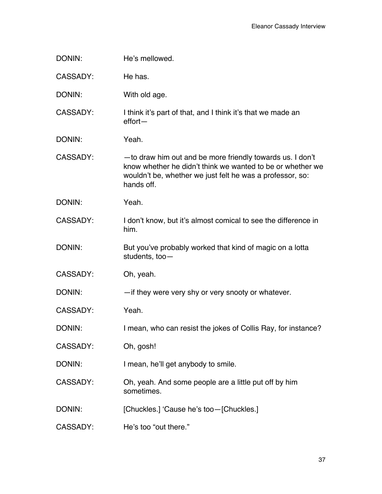| DONIN:          | He's mellowed.                                                                                                                                                                                      |
|-----------------|-----------------------------------------------------------------------------------------------------------------------------------------------------------------------------------------------------|
| <b>CASSADY:</b> | He has.                                                                                                                                                                                             |
| DONIN:          | With old age.                                                                                                                                                                                       |
| <b>CASSADY:</b> | I think it's part of that, and I think it's that we made an<br>$effort -$                                                                                                                           |
| DONIN:          | Yeah.                                                                                                                                                                                               |
| <b>CASSADY:</b> | - to draw him out and be more friendly towards us. I don't<br>know whether he didn't think we wanted to be or whether we<br>wouldn't be, whether we just felt he was a professor, so:<br>hands off. |
| DONIN:          | Yeah.                                                                                                                                                                                               |
| <b>CASSADY:</b> | I don't know, but it's almost comical to see the difference in<br>him.                                                                                                                              |
| DONIN:          | But you've probably worked that kind of magic on a lotta<br>students, too-                                                                                                                          |
| <b>CASSADY:</b> | Oh, yeah.                                                                                                                                                                                           |
| DONIN:          | - if they were very shy or very snooty or whatever.                                                                                                                                                 |
| <b>CASSADY:</b> | Yeah.                                                                                                                                                                                               |
| DONIN:          | I mean, who can resist the jokes of Collis Ray, for instance?                                                                                                                                       |
| CASSADY:        | Oh, gosh!                                                                                                                                                                                           |
| DONIN:          | I mean, he'll get anybody to smile.                                                                                                                                                                 |
| <b>CASSADY:</b> | Oh, yeah. And some people are a little put off by him<br>sometimes.                                                                                                                                 |
| DONIN:          | [Chuckles.] 'Cause he's too-[Chuckles.]                                                                                                                                                             |
| <b>CASSADY:</b> | He's too "out there."                                                                                                                                                                               |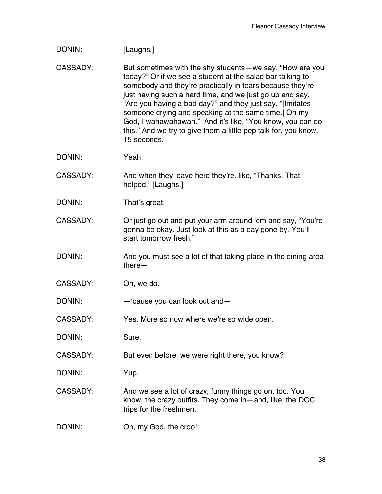| DONIN:          | [Laughs.]                                                                                                                                                                                                                                                                                                                                                                                                                                                                                                           |
|-----------------|---------------------------------------------------------------------------------------------------------------------------------------------------------------------------------------------------------------------------------------------------------------------------------------------------------------------------------------------------------------------------------------------------------------------------------------------------------------------------------------------------------------------|
| <b>CASSADY:</b> | But sometimes with the shy students—we say, "How are you<br>today?" Or if we see a student at the salad bar talking to<br>somebody and they're practically in tears because they're<br>just having such a hard time, and we just go up and say,<br>"Are you having a bad day?" and they just say, "[Imitates<br>someone crying and speaking at the same time.] Oh my<br>God, I wahawahawah." And it's like, "You know, you can do<br>this." And we try to give them a little pep talk for, you know,<br>15 seconds. |
| DONIN:          | Yeah.                                                                                                                                                                                                                                                                                                                                                                                                                                                                                                               |
| <b>CASSADY:</b> | And when they leave here they're, like, "Thanks. That<br>helped." [Laughs.]                                                                                                                                                                                                                                                                                                                                                                                                                                         |
| DONIN:          | That's great.                                                                                                                                                                                                                                                                                                                                                                                                                                                                                                       |
| CASSADY:        | Or just go out and put your arm around 'em and say, "You're<br>gonna be okay. Just look at this as a day gone by. You'll<br>start tomorrow fresh."                                                                                                                                                                                                                                                                                                                                                                  |
| DONIN:          | And you must see a lot of that taking place in the dining area<br>$there$ —                                                                                                                                                                                                                                                                                                                                                                                                                                         |
| <b>CASSADY:</b> | Oh, we do.                                                                                                                                                                                                                                                                                                                                                                                                                                                                                                          |
| DONIN:          | $-$ 'cause you can look out and $-$                                                                                                                                                                                                                                                                                                                                                                                                                                                                                 |
| CASSADY:        | Yes. More so now where we're so wide open.                                                                                                                                                                                                                                                                                                                                                                                                                                                                          |
| DONIN:          | Sure.                                                                                                                                                                                                                                                                                                                                                                                                                                                                                                               |
| CASSADY:        | But even before, we were right there, you know?                                                                                                                                                                                                                                                                                                                                                                                                                                                                     |
| DONIN:          | Yup.                                                                                                                                                                                                                                                                                                                                                                                                                                                                                                                |
| <b>CASSADY:</b> | And we see a lot of crazy, funny things go on, too. You<br>know, the crazy outfits. They come in $-$ and, like, the DOC<br>trips for the freshmen.                                                                                                                                                                                                                                                                                                                                                                  |
| DONIN:          | Oh, my God, the croo!                                                                                                                                                                                                                                                                                                                                                                                                                                                                                               |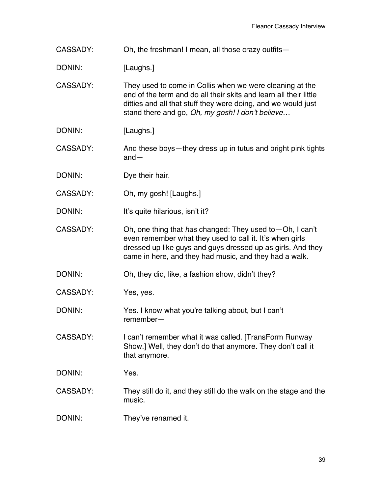CASSADY: Oh, the freshman! I mean, all those crazy outfits—

DONIN: [Laughs.]

CASSADY: They used to come in Collis when we were cleaning at the end of the term and do all their skits and learn all their little ditties and all that stuff they were doing, and we would just stand there and go, *Oh, my gosh! I don't believe…*

DONIN: [Laughs.]

CASSADY: And these boys—they dress up in tutus and bright pink tights and—

- DONIN: Dye their hair.
- CASSADY: Oh, my gosh! [Laughs.]
- DONIN: It's quite hilarious, isn't it?
- CASSADY: Oh, one thing that *has* changed: They used to—Oh, I can't even remember what they used to call it. It's when girls dressed up like guys and guys dressed up as girls. And they came in here, and they had music, and they had a walk.
- DONIN: Oh, they did, like, a fashion show, didn't they?
- CASSADY: Yes, yes.
- DONIN: Yes. I know what you're talking about, but I can't remember—
- CASSADY: I can't remember what it was called. [TransForm Runway Show.] Well, they don't do that anymore. They don't call it that anymore.
- DONIN: Yes.
- CASSADY: They still do it, and they still do the walk on the stage and the music.
- DONIN: They've renamed it.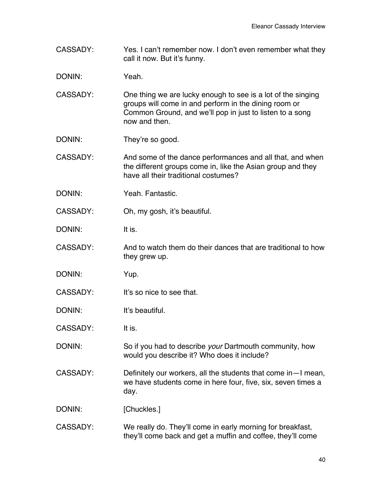CASSADY: Yes. I can't remember now. I don't even remember what they call it now. But it's funny.

DONIN: Yeah.

- CASSADY: One thing we are lucky enough to see is a lot of the singing groups will come in and perform in the dining room or Common Ground, and we'll pop in just to listen to a song now and then.
- DONIN: They're so good.
- CASSADY: And some of the dance performances and all that, and when the different groups come in, like the Asian group and they have all their traditional costumes?
- DONIN: Yeah. Fantastic.
- CASSADY: Oh, my gosh, it's beautiful.

DONIN: It is.

- CASSADY: And to watch them do their dances that are traditional to how they grew up.
- DONIN: Yup.
- CASSADY: It's so nice to see that.

DONIN: It's beautiful.

CASSADY: It is.

DONIN: So if you had to describe *your* Dartmouth community, how would you describe it? Who does it include?

CASSADY: Definitely our workers, all the students that come in—I mean, we have students come in here four, five, six, seven times a day.

DONIN: [Chuckles.]

CASSADY: We really do. They'll come in early morning for breakfast, they'll come back and get a muffin and coffee, they'll come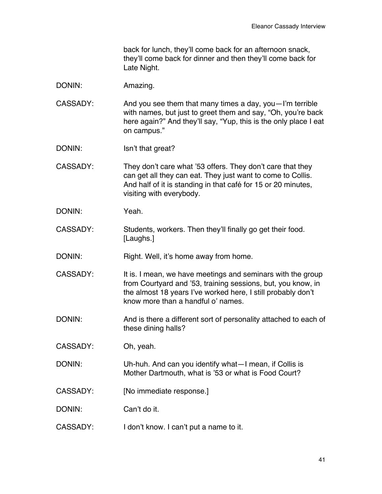back for lunch, they'll come back for an afternoon snack, they'll come back for dinner and then they'll come back for Late Night.

- DONIN: Amazing.
- CASSADY: And you see them that many times a day, you—I'm terrible with names, but just to greet them and say, "Oh, you're back here again?" And they'll say, "Yup, this is the only place I eat on campus."
- DONIN: Isn't that great?
- CASSADY: They don't care what '53 offers. They don't care that they can get all they can eat. They just want to come to Collis. And half of it is standing in that café for 15 or 20 minutes, visiting with everybody.
- DONIN: Yeah.
- CASSADY: Students, workers. Then they'll finally go get their food. [Laughs.]
- DONIN: Right. Well, it's home away from home.
- CASSADY: It is. I mean, we have meetings and seminars with the group from Courtyard and '53, training sessions, but, you know, in the almost 18 years I've worked here, I still probably don't know more than a handful o' names.
- DONIN: And is there a different sort of personality attached to each of these dining halls?
- CASSADY: Oh, yeah.
- DONIN: Uh-huh. And can you identify what—I mean, if Collis is Mother Dartmouth, what is '53 or what is Food Court?
- CASSADY: [No immediate response.]
- DONIN: Can't do it.
- CASSADY: I don't know. I can't put a name to it.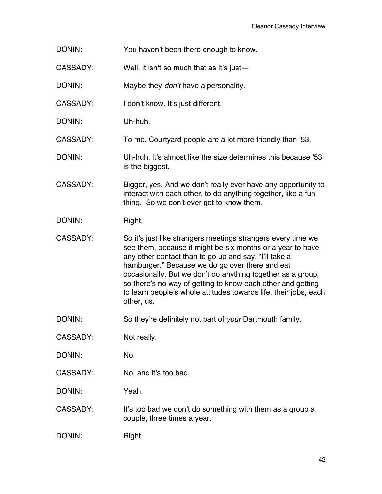- DONIN: You haven't been there enough to know.
- CASSADY: Well, it isn't so much that as it's just—
- DONIN: Maybe they *don't* have a personality.
- CASSADY: I don't know. It's just different.
- DONIN: Uh-huh.
- CASSADY: To me, Courtyard people are a lot more friendly than '53.
- DONIN: Uh-huh. It's almost like the size determines this because '53 is the biggest.
- CASSADY: Bigger, yes. And we don't really ever have any opportunity to interact with each other, to do anything together, like a fun thing. So we don't ever get to know them.
- DONIN: Right.
- CASSADY: So it's just like strangers meetings strangers every time we see them, because it might be six months or a year to have any other contact than to go up and say, "I'll take a hamburger." Because we do go over there and eat occasionally. But we don't do anything together as a group, so there's no way of getting to know each other and getting to learn people's whole attitudes towards life, their jobs, each other, us.
- DONIN: So they're definitely not part of *your* Dartmouth family.
- CASSADY: Not really.
- DONIN: No.
- CASSADY: No, and it's too bad.
- DONIN: Yeah.
- CASSADY: It's too bad we don't do something with them as a group a couple, three times a year.
- DONIN: Right.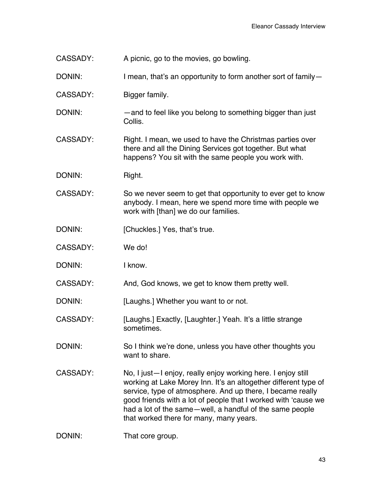CASSADY: A picnic, go to the movies, go bowling.

DONIN: I mean, that's an opportunity to form another sort of family-

CASSADY: Bigger family.

DONIN: — — — and to feel like you belong to something bigger than just Collis.

CASSADY: Right. I mean, we used to have the Christmas parties over there and all the Dining Services got together. But what happens? You sit with the same people you work with.

DONIN: Right.

CASSADY: So we never seem to get that opportunity to ever get to know anybody. I mean, here we spend more time with people we work with [than] we do our families.

DONIN: [Chuckles.] Yes, that's true.

CASSADY: We do!

DONIN: I know.

CASSADY: And, God knows, we get to know them pretty well.

DONIN: [Laughs.] Whether you want to or not.

CASSADY: [Laughs.] Exactly, [Laughter.] Yeah. It's a little strange sometimes.

DONIN: So I think we're done, unless you have other thoughts you want to share.

CASSADY: No, I just—I enjoy, really enjoy working here. I enjoy still working at Lake Morey Inn. It's an altogether different type of service, type of atmosphere. And up there, I became really good friends with a lot of people that I worked with 'cause we had a lot of the same—well, a handful of the same people that worked there for many, many years.

DONIN: That core group.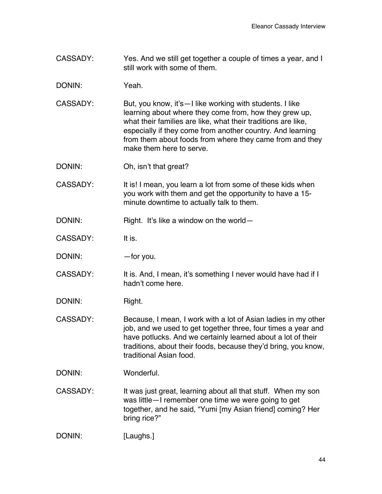CASSADY: Yes. And we still get together a couple of times a year, and I still work with some of them.

DONIN: Yeah.

- CASSADY: But, you know, it's—I like working with students. I like learning about where they come from, how they grew up, what their families are like, what their traditions are like, especially if they come from another country. And learning from them about foods from where they came from and they make them here to serve.
- DONIN: Oh, isn't that great?
- CASSADY: It is! I mean, you learn a lot from some of these kids when you work with them and get the opportunity to have a 15 minute downtime to actually talk to them.
- DONIN: Right. It's like a window on the world-
- CASSADY: It is.
- DONIN: — — for you.
- CASSADY: It is. And, I mean, it's something I never would have had if I hadn't come here.
- DONIN: Right.
- CASSADY: Because, I mean, I work with a lot of Asian ladies in my other job, and we used to get together three, four times a year and have potlucks. And we certainly learned about a lot of their traditions, about their foods, because they'd bring, you know, traditional Asian food.
- DONIN: Wonderful.
- CASSADY: It was just great, learning about all that stuff. When my son was little—I remember one time we were going to get together, and he said, "Yumi [my Asian friend] coming? Her bring rice?"

DONIN: [Laughs.]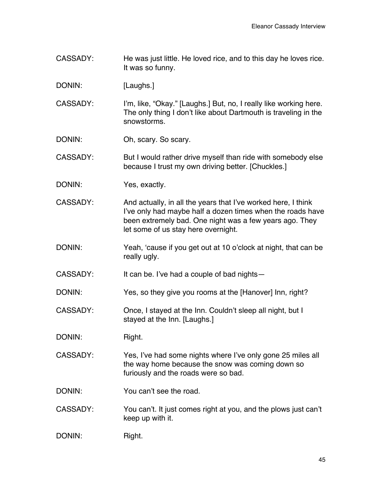CASSADY: He was just little. He loved rice, and to this day he loves rice. It was so funny.

DONIN: [Laughs.]

CASSADY: I'm, like, "Okay." [Laughs.] But, no, I really like working here. The only thing I don't like about Dartmouth is traveling in the snowstorms.

DONIN: Oh, scary. So scary.

CASSADY: But I would rather drive myself than ride with somebody else because I trust my own driving better. [Chuckles.]

DONIN: Yes, exactly.

CASSADY: And actually, in all the years that I've worked here, I think I've only had maybe half a dozen times when the roads have been extremely bad. One night was a few years ago. They let some of us stay here overnight.

DONIN: Yeah, 'cause if you get out at 10 o'clock at night, that can be really ugly.

CASSADY: It can be. I've had a couple of bad nights—

DONIN: Yes, so they give you rooms at the [Hanover] Inn, right?

CASSADY: Once, I stayed at the Inn. Couldn't sleep all night, but I stayed at the Inn. [Laughs.]

DONIN: Right.

CASSADY: Yes, I've had some nights where I've only gone 25 miles all the way home because the snow was coming down so furiously and the roads were so bad.

DONIN: You can't see the road.

CASSADY: You can't. It just comes right at you, and the plows just can't keep up with it.

DONIN: Right.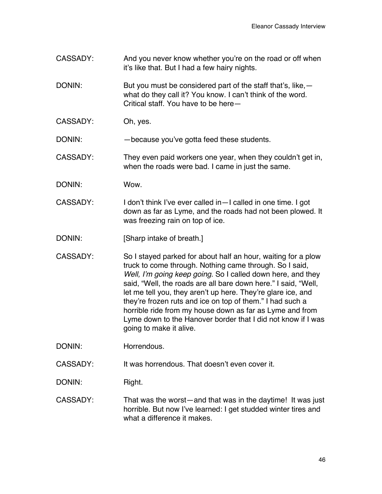- CASSADY: And you never know whether you're on the road or off when it's like that. But I had a few hairy nights.
- DONIN: But you must be considered part of the staff that's, like, what do they call it? You know. I can't think of the word. Critical staff. You have to be here—
- CASSADY: Oh, yes.
- DONIN: —because you've gotta feed these students.
- CASSADY: They even paid workers one year, when they couldn't get in, when the roads were bad. I came in just the same.
- DONIN: Wow.
- CASSADY: I don't think I've ever called in—I called in one time. I got down as far as Lyme, and the roads had not been plowed. It was freezing rain on top of ice.
- DONIN: [Sharp intake of breath.]
- CASSADY: So I stayed parked for about half an hour, waiting for a plow truck to come through. Nothing came through. So I said, *Well, I'm going keep going*. So I called down here, and they said, "Well, the roads are all bare down here." I said, "Well, let me tell you, they aren't up here. They're glare ice, and they're frozen ruts and ice on top of them." I had such a horrible ride from my house down as far as Lyme and from Lyme down to the Hanover border that I did not know if I was going to make it alive.
- DONIN: Horrendous.
- CASSADY: It was horrendous. That doesn't even cover it.
- DONIN: Right.
- CASSADY: That was the worst—and that was in the daytime! It was just horrible. But now I've learned: I get studded winter tires and what a difference it makes.